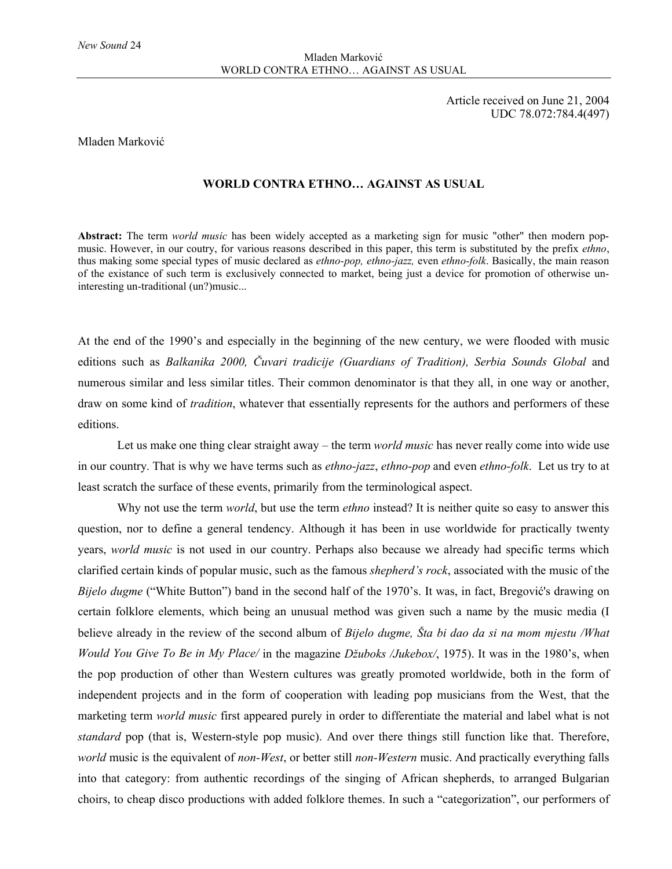Article received on June 21, 2004 UDC 78.072:784.4(497)

## Mladen Marković

## **WORLD CONTRA ETHNO… AGAINST AS USUAL**

**Abstract:** The term *world music* has been widely accepted as a marketing sign for music "other" then modern popmusic. However, in our coutry, for various reasons described in this paper, this term is substituted by the prefix *ethno*, thus making some special types of music declared as *ethno-pop, ethno-jazz,* even *ethno-folk*. Basically, the main reason of the existance of such term is exclusively connected to market, being just a device for promotion of otherwise uninteresting un-traditional (un?)music...

At the end of the 1990's and especially in the beginning of the new century, we were flooded with music editions such as *Balkanika 2000, Čuvari tradicije (Guardians of Tradition), Serbia Sounds Global* and numerous similar and less similar titles. Their common denominator is that they all, in one way or another, draw on some kind of *tradition*, whatever that essentially represents for the authors and performers of these editions.

Let us make one thing clear straight away – the term *world music* has never really come into wide use in our country. That is why we have terms such as *ethno-jazz*, *ethno-pop* and even *ethno-folk*. Let us try to at least scratch the surface of these events, primarily from the terminological aspect.

Why not use the term *world*, but use the term *ethno* instead? It is neither quite so easy to answer this question, nor to define a general tendency. Although it has been in use worldwide for practically twenty years, *world music* is not used in our country. Perhaps also because we already had specific terms which clarified certain kinds of popular music, such as the famous *shepherd's rock*, associated with the music of the *Bijelo dugme* ("White Button") band in the second half of the 1970's. It was, in fact, Bregović's drawing on certain folklore elements, which being an unusual method was given such a name by the music media (I believe already in the review of the second album of *Bijelo dugme, Šta bi dao da si na mom mjestu /What Would You Give To Be in My Place/* in the magazine *Džuboks /Jukebox/*, 1975). It was in the 1980's, when the pop production of other than Western cultures was greatly promoted worldwide, both in the form of independent projects and in the form of cooperation with leading pop musicians from the West, that the marketing term *world music* first appeared purely in order to differentiate the material and label what is not *standard* pop (that is, Western-style pop music). And over there things still function like that. Therefore, *world* music is the equivalent of *non-West*, or better still *non-Western* music. And practically everything falls into that category: from authentic recordings of the singing of African shepherds, to arranged Bulgarian choirs, to cheap disco productions with added folklore themes. In such a "categorization", our performers of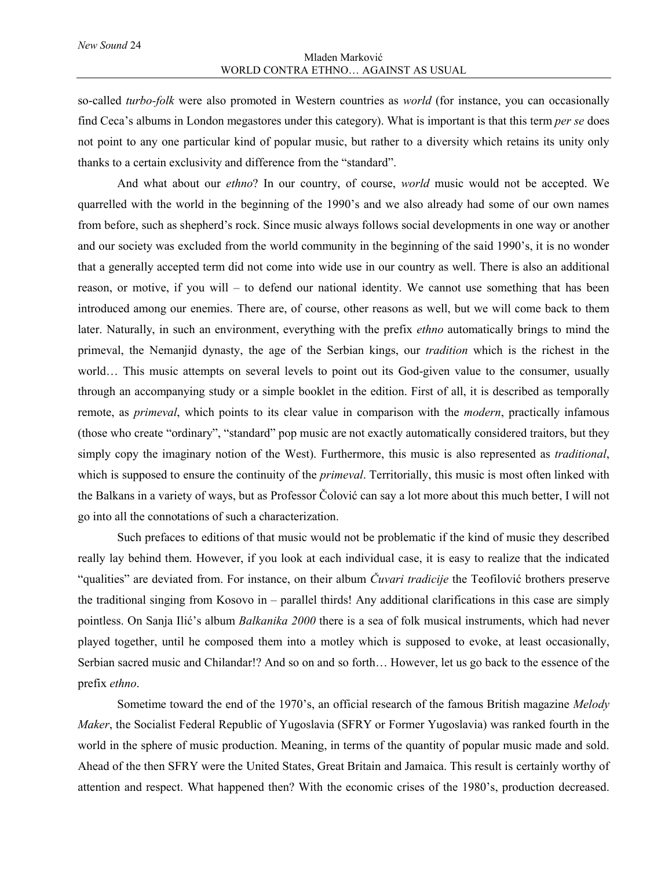so-called *turbo-folk* were also promoted in Western countries as *world* (for instance, you can occasionally find Ceca's albums in London megastores under this category). What is important is that this term *per se* does not point to any one particular kind of popular music, but rather to a diversity which retains its unity only thanks to a certain exclusivity and difference from the "standard".

And what about our *ethno*? In our country, of course, *world* music would not be accepted. We quarrelled with the world in the beginning of the 1990's and we also already had some of our own names from before, such as shepherd's rock. Since music always follows social developments in one way or another and our society was excluded from the world community in the beginning of the said 1990's, it is no wonder that a generally accepted term did not come into wide use in our country as well. There is also an additional reason, or motive, if you will – to defend our national identity. We cannot use something that has been introduced among our enemies. There are, of course, other reasons as well, but we will come back to them later. Naturally, in such an environment, everything with the prefix *ethno* automatically brings to mind the primeval, the Nemanjid dynasty, the age of the Serbian kings, our *tradition* which is the richest in the world… This music attempts on several levels to point out its God-given value to the consumer, usually through an accompanying study or a simple booklet in the edition. First of all, it is described as temporally remote, as *primeval*, which points to its clear value in comparison with the *modern*, practically infamous (those who create "ordinary", "standard" pop music are not exactly automatically considered traitors, but they simply copy the imaginary notion of the West). Furthermore, this music is also represented as *traditional*, which is supposed to ensure the continuity of the *primeval*. Territorially, this music is most often linked with the Balkans in a variety of ways, but as Professor Čolović can say a lot more about this much better, I will not go into all the connotations of such a characterization.

Such prefaces to editions of that music would not be problematic if the kind of music they described really lay behind them. However, if you look at each individual case, it is easy to realize that the indicated "qualities" are deviated from. For instance, on their album *Čuvari tradicije* the Teofilović brothers preserve the traditional singing from Kosovo in – parallel thirds! Any additional clarifications in this case are simply pointless. On Sanja Ilić's album *Balkanika 2000* there is a sea of folk musical instruments, which had never played together, until he composed them into a motley which is supposed to evoke, at least occasionally, Serbian sacred music and Chilandar!? And so on and so forth… However, let us go back to the essence of the prefix *ethno*.

Sometime toward the end of the 1970's, an official research of the famous British magazine *Melody Maker*, the Socialist Federal Republic of Yugoslavia (SFRY or Former Yugoslavia) was ranked fourth in the world in the sphere of music production. Meaning, in terms of the quantity of popular music made and sold. Ahead of the then SFRY were the United States, Great Britain and Jamaica. This result is certainly worthy of attention and respect. What happened then? With the economic crises of the 1980's, production decreased.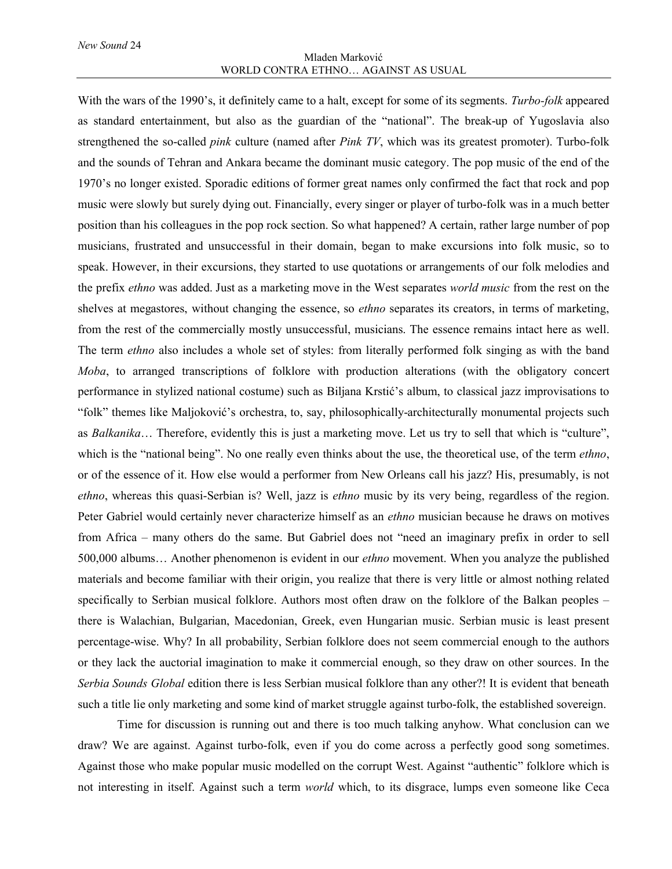## Mladen Marković WORLD CONTRA ETHNO… AGAINST AS USUAL

With the wars of the 1990's, it definitely came to a halt, except for some of its segments. *Turbo-folk* appeared as standard entertainment, but also as the guardian of the "national". The break-up of Yugoslavia also strengthened the so-called *pink* culture (named after *Pink TV*, which was its greatest promoter). Turbo-folk and the sounds of Tehran and Ankara became the dominant music category. The pop music of the end of the 1970's no longer existed. Sporadic editions of former great names only confirmed the fact that rock and pop music were slowly but surely dying out. Financially, every singer or player of turbo-folk was in a much better position than his colleagues in the pop rock section. So what happened? A certain, rather large number of pop musicians, frustrated and unsuccessful in their domain, began to make excursions into folk music, so to speak. However, in their excursions, they started to use quotations or arrangements of our folk melodies and the prefix *ethno* was added. Just as a marketing move in the West separates *world music* from the rest on the shelves at megastores, without changing the essence, so *ethno* separates its creators, in terms of marketing, from the rest of the commercially mostly unsuccessful, musicians. The essence remains intact here as well. The term *ethno* also includes a whole set of styles: from literally performed folk singing as with the band *Moba*, to arranged transcriptions of folklore with production alterations (with the obligatory concert performance in stylized national costume) such as Biljana Krstić's album, to classical jazz improvisations to "folk" themes like Maljoković's orchestra, to, say, philosophically-architecturally monumental projects such as *Balkanika*… Therefore, evidently this is just a marketing move. Let us try to sell that which is "culture", which is the "national being". No one really even thinks about the use, the theoretical use, of the term *ethno*, or of the essence of it. How else would a performer from New Orleans call his jazz? His, presumably, is not *ethno*, whereas this quasi-Serbian is? Well, jazz is *ethno* music by its very being, regardless of the region. Peter Gabriel would certainly never characterize himself as an *ethno* musician because he draws on motives from Africa – many others do the same. But Gabriel does not "need an imaginary prefix in order to sell 500,000 albums… Another phenomenon is evident in our *ethno* movement. When you analyze the published materials and become familiar with their origin, you realize that there is very little or almost nothing related specifically to Serbian musical folklore. Authors most often draw on the folklore of the Balkan peoples – there is Walachian, Bulgarian, Macedonian, Greek, even Hungarian music. Serbian music is least present percentage-wise. Why? In all probability, Serbian folklore does not seem commercial enough to the authors or they lack the auctorial imagination to make it commercial enough, so they draw on other sources. In the *Serbia Sounds Global* edition there is less Serbian musical folklore than any other?! It is evident that beneath such a title lie only marketing and some kind of market struggle against turbo-folk, the established sovereign.

Time for discussion is running out and there is too much talking anyhow. What conclusion can we draw? We are against. Against turbo-folk, even if you do come across a perfectly good song sometimes. Against those who make popular music modelled on the corrupt West. Against "authentic" folklore which is not interesting in itself. Against such a term *world* which, to its disgrace, lumps even someone like Ceca